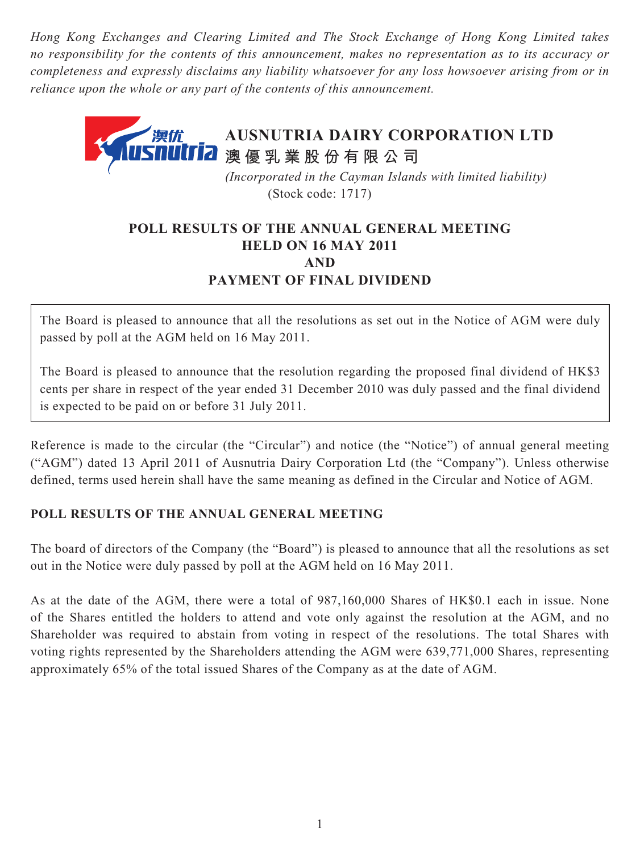*Hong Kong Exchanges and Clearing Limited and The Stock Exchange of Hong Kong Limited takes no responsibility for the contents of this announcement, makes no representation as to its accuracy or completeness and expressly disclaims any liability whatsoever for any loss howsoever arising from or in reliance upon the whole or any part of the contents of this announcement.*



(Stock code: 1717)

## **POLL RESULTS OF THE ANNUAL GENERAL MEETING HELD ON 16 MAY 2011 AND PAYMENT OF FINAL DIVIDEND**

The Board is pleased to announce that all the resolutions as set out in the Notice of AGM were duly passed by poll at the AGM held on 16 May 2011.

The Board is pleased to announce that the resolution regarding the proposed final dividend of HK\$3 cents per share in respect of the year ended 31 December 2010 was duly passed and the final dividend is expected to be paid on or before 31 July 2011.

Reference is made to the circular (the "Circular") and notice (the "Notice") of annual general meeting ("AGM") dated 13 April 2011 of Ausnutria Dairy Corporation Ltd (the "Company"). Unless otherwise defined, terms used herein shall have the same meaning as defined in the Circular and Notice of AGM.

## **POLL RESULTS OF THE ANNUAL GENERAL MEETING**

The board of directors of the Company (the "Board") is pleased to announce that all the resolutions as set out in the Notice were duly passed by poll at the AGM held on 16 May 2011.

As at the date of the AGM, there were a total of 987,160,000 Shares of HK\$0.1 each in issue. None of the Shares entitled the holders to attend and vote only against the resolution at the AGM, and no Shareholder was required to abstain from voting in respect of the resolutions. The total Shares with voting rights represented by the Shareholders attending the AGM were 639,771,000 Shares, representing approximately 65% of the total issued Shares of the Company as at the date of AGM.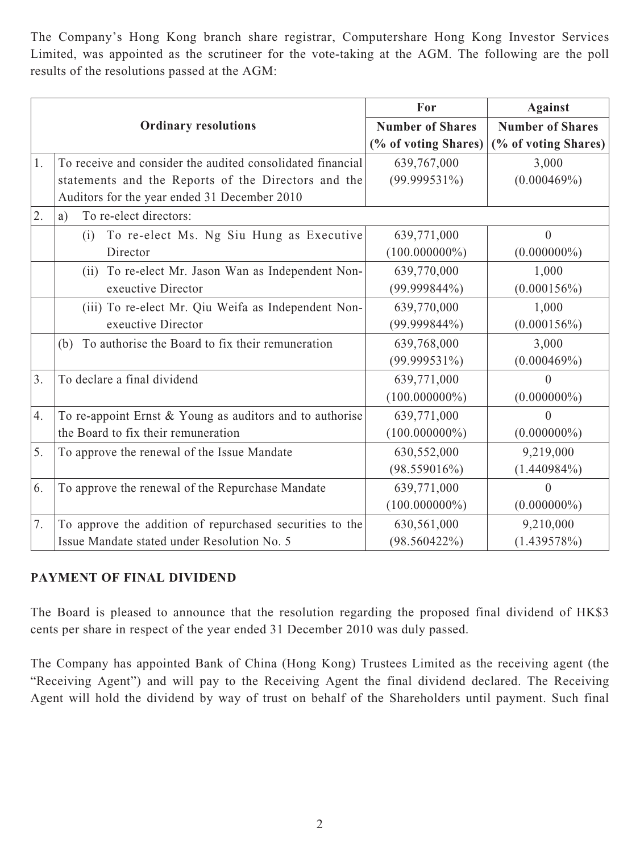The Company's Hong Kong branch share registrar, Computershare Hong Kong Investor Services Limited, was appointed as the scrutineer for the vote-taking at the AGM. The following are the poll results of the resolutions passed at the AGM:

|                             |                                                            | For                     | <b>Against</b>          |
|-----------------------------|------------------------------------------------------------|-------------------------|-------------------------|
| <b>Ordinary resolutions</b> |                                                            | <b>Number of Shares</b> | <b>Number of Shares</b> |
|                             |                                                            | (% of voting Shares)    | (% of voting Shares)    |
| 1.                          | To receive and consider the audited consolidated financial | 639,767,000             | 3,000                   |
|                             | statements and the Reports of the Directors and the        | $(99.999531\%)$         | (0.000469%)             |
|                             | Auditors for the year ended 31 December 2010               |                         |                         |
| 2.                          | To re-elect directors:<br>a)                               |                         |                         |
|                             | To re-elect Ms. Ng Siu Hung as Executive<br>(i)            | 639,771,000             | $\theta$                |
|                             | Director                                                   | $(100.000000\%)$        | $(0.000000\%)$          |
|                             | To re-elect Mr. Jason Wan as Independent Non-<br>(ii)      | 639,770,000             | 1,000                   |
|                             | exeuctive Director                                         | $(99.999844\%)$         | $(0.000156\%)$          |
|                             | (iii) To re-elect Mr. Qiu Weifa as Independent Non-        | 639,770,000             | 1,000                   |
|                             | exeuctive Director                                         | $(99.999844\%)$         | (0.000156%)             |
|                             | To authorise the Board to fix their remuneration<br>(b)    | 639,768,000             | 3,000                   |
|                             |                                                            | $(99.999531\%)$         | (0.000469%)             |
| 3.                          | To declare a final dividend                                | 639,771,000             | $\Omega$                |
|                             |                                                            | $(100.000000\%)$        | $(0.000000\%)$          |
| 4.                          | To re-appoint Ernst $&$ Young as auditors and to authorise | 639,771,000             | $\Omega$                |
|                             | the Board to fix their remuneration                        | $(100.000000\%)$        | $(0.000000\%)$          |
| 5.                          | To approve the renewal of the Issue Mandate                | 630,552,000             | 9,219,000               |
|                             |                                                            | $(98.559016\%)$         | $(1.440984\%)$          |
| 6.                          | To approve the renewal of the Repurchase Mandate           | 639,771,000             | $\Omega$                |
|                             |                                                            | $(100.000000\%)$        | $(0.000000\%)$          |
| 7.                          | To approve the addition of repurchased securities to the   | 630,561,000             | 9,210,000               |
|                             | Issue Mandate stated under Resolution No. 5                | $(98.560422\%)$         | (1.439578%)             |

## **PAYMENT OF FINAL DIVIDEND**

The Board is pleased to announce that the resolution regarding the proposed final dividend of HK\$3 cents per share in respect of the year ended 31 December 2010 was duly passed.

The Company has appointed Bank of China (Hong Kong) Trustees Limited as the receiving agent (the "Receiving Agent") and will pay to the Receiving Agent the final dividend declared. The Receiving Agent will hold the dividend by way of trust on behalf of the Shareholders until payment. Such final